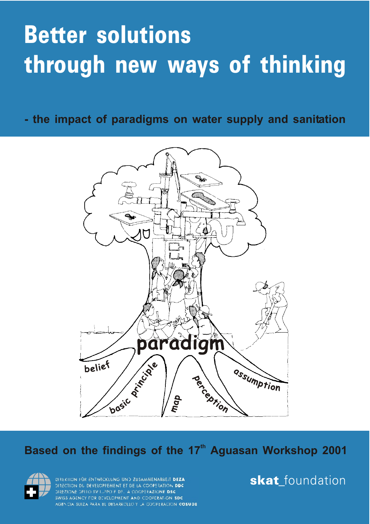# **Better solutions through new ways of thinking**

**- the impact of paradigms on water supply and sanitation**



#### Based on the findings of the 17<sup>th</sup> Aguasan Workshop 2001



DIREKTION FÜR ENTWICKLUNG UND ZUSAMMENARBEIT DEZA DIRECTION BUI DEVELOPPEMENT ET DE LA COOPERATION DDC DIREZIONE DELLO SVI LIPPO E DEL A COOPERAZIONE DSC SWISS AGENCY FOR DEVELOPMENT AND COOFERATION SDC. AGENCIA SUIZA PARA EL DESARROLLO Y LA COOPERACIÓN COSUDE **skat**\_foundation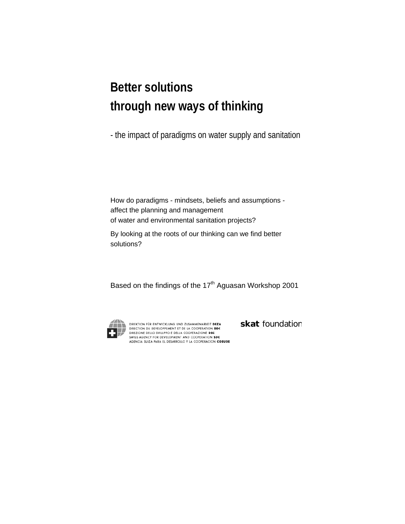## **Better solutions through new ways of thinking**

- the impact of paradigms on water supply and sanitation

How do paradigms - mindsets, beliefs and assumptions affect the planning and management of water and environmental sanitation projects?

By looking at the roots of our thinking can we find better solutions?

Based on the findings of the 17<sup>th</sup> Aguasan Workshop 2001



DIREKTION FÜR ENTWICKLUNG UND ZUSAMMENARBEIT DEZA DIRECTION DU DEVELOPPEMENT ET DE LA COOPERATION DDC DIREZIONE DELLO SVILUPPO E DELLA COOPERAZIONE DSC SWISS AGENCY FOR DEVELOPMENT AND COOPERATION SDC AGENCIA SUIZA PARA EL DESARROLLO Y LA COOPERACION COSUDE *skat* foundation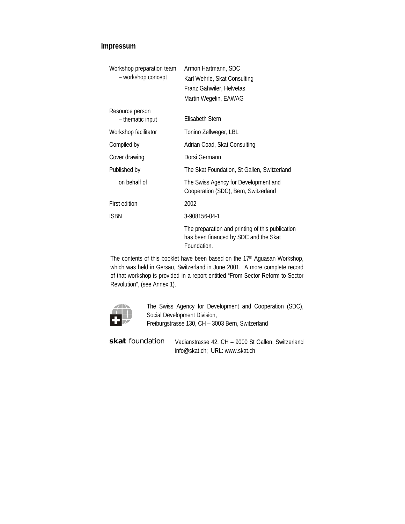#### **Impressum**

| Workshop preparation team | Armon Hartmann, SDC                                                                                      |  |  |  |  |
|---------------------------|----------------------------------------------------------------------------------------------------------|--|--|--|--|
| - workshop concept        | Karl Wehrle, Skat Consulting                                                                             |  |  |  |  |
|                           | Franz Gähwiler, Helvetas                                                                                 |  |  |  |  |
|                           | Martin Wegelin, EAWAG                                                                                    |  |  |  |  |
| Resource person           |                                                                                                          |  |  |  |  |
| - thematic input          | <b>Flisabeth Stern</b>                                                                                   |  |  |  |  |
| Workshop facilitator      | Tonino Zellweger, LBL                                                                                    |  |  |  |  |
| Compiled by               | Adrian Coad, Skat Consulting                                                                             |  |  |  |  |
| Cover drawing             | Dorsi Germann                                                                                            |  |  |  |  |
| Published by              | The Skat Foundation, St Gallen, Switzerland                                                              |  |  |  |  |
| on behalf of              | The Swiss Agency for Development and<br>Cooperation (SDC), Bern, Switzerland                             |  |  |  |  |
| <b>First edition</b>      | 2002                                                                                                     |  |  |  |  |
| <b>ISBN</b>               | 3-908156-04-1                                                                                            |  |  |  |  |
|                           | The preparation and printing of this publication<br>has been financed by SDC and the Skat<br>Foundation. |  |  |  |  |

The contents of this booklet have been based on the 17<sup>th</sup> Aguasan Workshop, which was held in Gersau, Switzerland in June 2001. A more complete record of that workshop is provided in a report entitled "From Sector Reform to Sector Revolution", (see Annex 1).



The Swiss Agency for Development and Cooperation (SDC), Social Development Division, Freiburgstrasse 130, CH – 3003 Bern, Switzerland

| skat foundation | Vadianstrasse 42, CH - 9000 St Gallen, Switzerland |
|-----------------|----------------------------------------------------|
|                 | info@skat.ch: URL: www.skat.ch                     |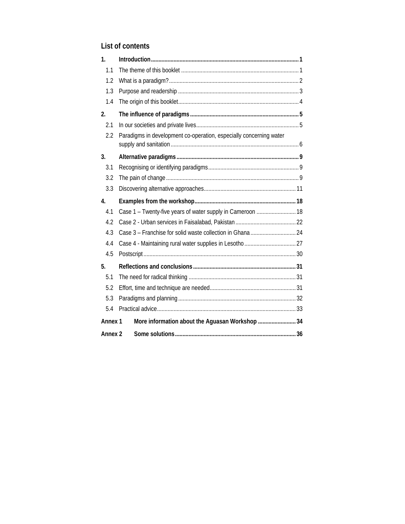### **List of contents**

| 1 <sub>1</sub>     |                                                                    |  |
|--------------------|--------------------------------------------------------------------|--|
| 1.1                |                                                                    |  |
| 1.2                |                                                                    |  |
| 1.3                |                                                                    |  |
| 1.4                |                                                                    |  |
| 2.                 |                                                                    |  |
| 2.1                |                                                                    |  |
| 2.2                | Paradigms in development co-operation, especially concerning water |  |
| 3.                 |                                                                    |  |
| 3.1                |                                                                    |  |
| 3.2                |                                                                    |  |
| 3.3                |                                                                    |  |
|                    |                                                                    |  |
| 4.                 |                                                                    |  |
| 4.1                | Case 1 - Twenty-five years of water supply in Cameroon  18         |  |
| 4.2                |                                                                    |  |
| 4.3                |                                                                    |  |
| 4.4                |                                                                    |  |
| 4.5                |                                                                    |  |
| 5.                 |                                                                    |  |
| 5.1                |                                                                    |  |
| 5.2                |                                                                    |  |
| 5.3                |                                                                    |  |
| 5.4                |                                                                    |  |
| Annex <sub>1</sub> | More information about the Aguasan Workshop  34                    |  |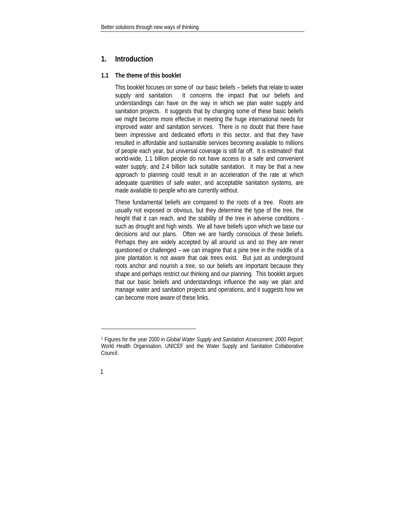#### <span id="page-4-0"></span>**1. Introduction**

#### **1.1 The theme of this booklet**

This booklet focuses on some of our basic beliefs – beliefs that relate to water supply and sanitation. It concerns the impact that our beliefs and understandings can have on the way in which we plan water supply and sanitation projects. It suggests that by changing some of these basic beliefs we might become more effective in meeting the huge international needs for improved water and sanitation services. There is no doubt that there have been impressive and dedicated efforts in this sector, and that they have resulted in affordable and sustainable services becoming available to millions of people each year, but universal coverage is still far off. It is estimated<sup>1</sup> that world-wide, 1.1 billion people do not have access to a safe and convenient water supply, and 2.4 billion lack suitable sanitation. It may be that a new approach to planning could result in an acceleration of the rate at which adequate quantities of safe water, and acceptable sanitation systems, are made available to people who are currently without.

These fundamental beliefs are compared to the roots of a tree. Roots are usually not exposed or obvious, but they determine the type of the tree, the height that it can reach, and the stability of the tree in adverse conditions such as drought and high winds. We all have beliefs upon which we base our decisions and our plans. Often we are hardly conscious of these beliefs. Perhaps they are widely accepted by all around us and so they are never questioned or challenged – we can imagine that a pine tree in the middle of a pine plantation is not aware that oak trees exist. But just as underground roots anchor and nourish a tree, so our beliefs are important because they shape and perhaps restrict our thinking and our planning. This booklet argues that our basic beliefs and understandings influence the way we plan and manage water and sanitation projects and operations, and it suggests how we can become more aware of these links.

 $\overline{\phantom{a}}$ 

<span id="page-4-1"></span><sup>1</sup> Figures for the year 2000 in *Global Water Supply and Sanitation Assessment; 2000 Report*; World Health Organisation, UNICEF and the Water Supply and Sanitation Collaborative Council.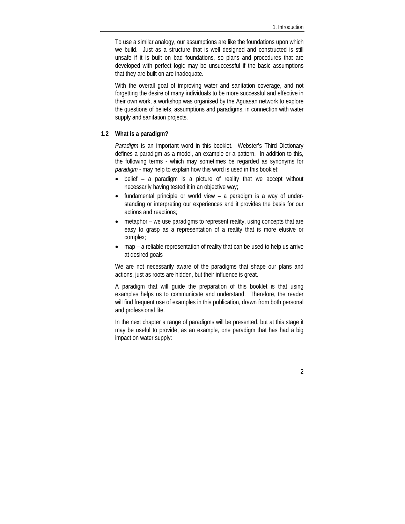<span id="page-5-0"></span>To use a similar analogy, our assumptions are like the foundations upon which we build. Just as a structure that is well designed and constructed is still unsafe if it is built on bad foundations, so plans and procedures that are developed with perfect logic may be unsuccessful if the basic assumptions that they are built on are inadequate.

With the overall goal of improving water and sanitation coverage, and not forgetting the desire of many individuals to be more successful and effective in their own work, a workshop was organised by the Aguasan network to explore the questions of beliefs, assumptions and paradigms, in connection with water supply and sanitation projects.

#### **1.2 What is a paradigm?**

*Paradigm* is an important word in this booklet. Webster's Third Dictionary defines a paradigm as a model, an example or a pattern. In addition to this, the following terms - which may sometimes be regarded as synonyms for *paradigm* - may help to explain how this word is used in this booklet:

- belief a paradigm is a picture of reality that we accept without necessarily having tested it in an objective way;
- fundamental principle or world view a paradigm is a way of understanding or interpreting our experiences and it provides the basis for our actions and reactions;
- metaphor we use paradigms to represent reality, using concepts that are easy to grasp as a representation of a reality that is more elusive or complex;
- map a reliable representation of reality that can be used to help us arrive at desired goals

We are not necessarily aware of the paradigms that shape our plans and actions, just as roots are hidden, but their influence is great.

A paradigm that will guide the preparation of this booklet is that using examples helps us to communicate and understand. Therefore, the reader will find frequent use of examples in this publication, drawn from both personal and professional life.

In the next chapter a range of paradigms will be presented, but at this stage it may be useful to provide, as an example, one paradigm that has had a big impact on water supply: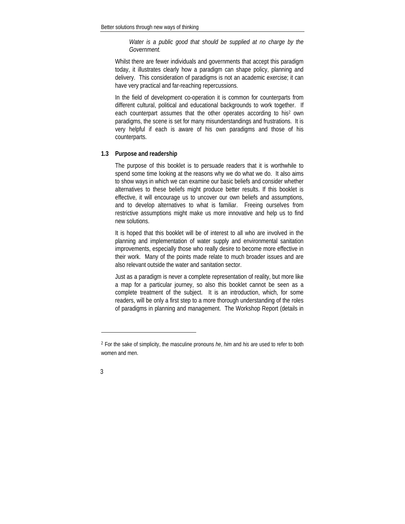*Water is a public good that should be supplied at no charge by the Government.* 

<span id="page-6-0"></span>Whilst there are fewer individuals and governments that accept this paradigm today, it illustrates clearly how a paradigm can shape policy, planning and delivery. This consideration of paradigms is not an academic exercise; it can have very practical and far-reaching repercussions.

In the field of development co-operation it is common for counterparts from different cultural, political and educational backgrounds to work together. If each counterpart assumes that the other operates according to his<sup>2</sup> own paradigms, the scene is set for many misunderstandings and frustrations. It is very helpful if each is aware of his own paradigms and those of his counterparts.

#### **1.3 Purpose and readership**

The purpose of this booklet is to persuade readers that it is worthwhile to spend some time looking at the reasons why we do what we do. It also aims to show ways in which we can examine our basic beliefs and consider whether alternatives to these beliefs might produce better results. If this booklet is effective, it will encourage us to uncover our own beliefs and assumptions, and to develop alternatives to what is familiar. Freeing ourselves from restrictive assumptions might make us more innovative and help us to find new solutions.

It is hoped that this booklet will be of interest to all who are involved in the planning and implementation of water supply and environmental sanitation improvements, especially those who really desire to become more effective in their work. Many of the points made relate to much broader issues and are also relevant outside the water and sanitation sector.

Just as a paradigm is never a complete representation of reality, but more like a map for a particular journey, so also this booklet cannot be seen as a complete treatment of the subject. It is an introduction, which, for some readers, will be only a first step to a more thorough understanding of the roles of paradigms in planning and management. The Workshop Report (details in

 $\overline{\phantom{a}}$ 

<span id="page-6-1"></span><sup>2</sup> For the sake of simplicity, the masculine pronouns *he*, *him* and *his* are used to refer to both women and men.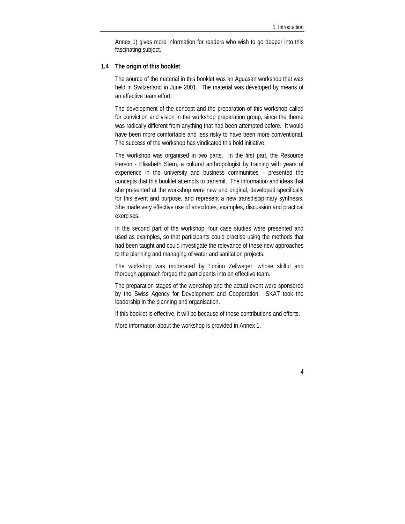Annex 1) gives more information for readers who wish to go deeper into this fascinating subject.

#### <span id="page-7-0"></span>**1.4 The origin of this booklet**

The source of the material in this booklet was an Aguasan workshop that was held in Switzerland in June 2001. The material was developed by means of an effective team effort.

The development of the concept and the preparation of this workshop called for conviction and vision in the workshop preparation group, since the theme was radically different from anything that had been attempted before. It would have been more comfortable and less risky to have been more conventional. The success of the workshop has vindicated this bold initiative.

The workshop was organised in two parts. In the first part, the Resource Person - Elisabeth Stern, a cultural anthropologist by training with years of experience in the university and business communities - presented the concepts that this booklet attempts to transmit. The information and ideas that she presented at the workshop were new and original, developed specifically for this event and purpose, and represent a new transdisciplinary synthesis. She made very effective use of anecdotes, examples, discussion and practical exercises.

In the second part of the workshop, four case studies were presented and used as examples, so that participants could practise using the methods that had been taught and could investigate the relevance of these new approaches to the planning and managing of water and sanitation projects.

The workshop was moderated by Tonino Zellweger, whose skilful and thorough approach forged the participants into an effective team.

The preparation stages of the workshop and the actual event were sponsored by the Swiss Agency for Development and Cooperation. SKAT took the leadership in the planning and organisation.

If this booklet is effective, it will be because of these contributions and efforts.

More information about the workshop is provided in Annex 1.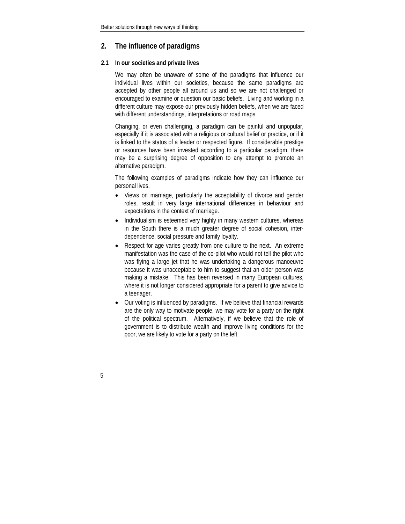#### <span id="page-8-0"></span>**2. The influence of paradigms**

#### **2.1 In our societies and private lives**

We may often be unaware of some of the paradigms that influence our individual lives within our societies, because the same paradigms are accepted by other people all around us and so we are not challenged or encouraged to examine or question our basic beliefs. Living and working in a different culture may expose our previously hidden beliefs, when we are faced with different understandings, interpretations or road maps.

Changing, or even challenging, a paradigm can be painful and unpopular, especially if it is associated with a religious or cultural belief or practice, or if it is linked to the status of a leader or respected figure. If considerable prestige or resources have been invested according to a particular paradigm, there may be a surprising degree of opposition to any attempt to promote an alternative paradigm.

The following examples of paradigms indicate how they can influence our personal lives.

- Views on marriage, particularly the acceptability of divorce and gender roles, result in very large international differences in behaviour and expectations in the context of marriage.
- Individualism is esteemed very highly in many western cultures, whereas in the South there is a much greater degree of social cohesion, interdependence, social pressure and family loyalty.
- Respect for age varies greatly from one culture to the next. An extreme manifestation was the case of the co-pilot who would not tell the pilot who was flying a large jet that he was undertaking a dangerous manoeuvre because it was unacceptable to him to suggest that an older person was making a mistake. This has been reversed in many European cultures, where it is not longer considered appropriate for a parent to give advice to a teenager.
- Our voting is influenced by paradigms. If we believe that financial rewards are the only way to motivate people, we may vote for a party on the right of the political spectrum. Alternatively, if we believe that the role of government is to distribute wealth and improve living conditions for the poor, we are likely to vote for a party on the left.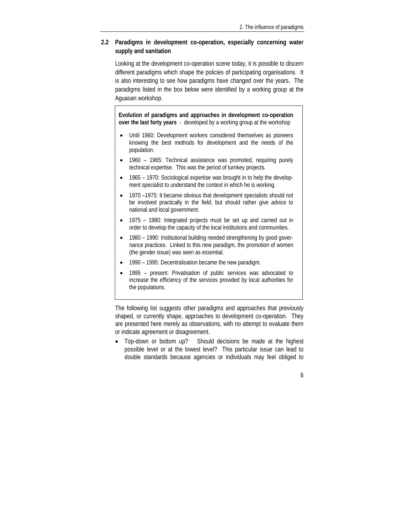#### <span id="page-9-0"></span>**2.2 Paradigms in development co-operation, especially concerning water supply and sanitation**

Looking at the development co-operation scene today, it is possible to discern different paradigms which shape the policies of participating organisations. It is also interesting to see how paradigms have changed over the years. The paradigms listed in the box below were identified by a working group at the Aguasan workshop.

**Evolution of paradigms and approaches in development co-operation over the last forty years** - developed by a working group at the workshop

- Until 1960: Development workers considered themselves as pioneers knowing the best methods for development and the needs of the population.
- 1960 1965: Technical assistance was promoted, requiring purely technical expertise. This was the period of turnkey projects.
- 1965 1970: Sociological expertise was brought in to help the development specialist to understand the context in which he is working.
- 1970 –1975: It became obvious that development specialists should not be involved practically in the field, but should rather give advice to national and local government.
- 1975 1980: Integrated projects must be set up and carried out in order to develop the capacity of the local institutions and communities.
- 1980 1990: Institutional building needed strengthening by good governance practices. Linked to this new paradigm, the promotion of women (the gender issue) was seen as essential.
- 1990 1995: Decentralisation became the new paradigm.
- 1995 present: Privatisation of public services was advocated to increase the efficiency of the services provided by local authorities for the populations.

The following list suggests other paradigms and approaches that previously shaped, or currently shape, approaches to development co-operation. They are presented here merely as observations, with no attempt to evaluate them or indicate agreement or disagreement.

• Top-down or bottom up? Should decisions be made at the highest possible level or at the lowest level? This particular issue can lead to double standards because agencies or individuals may feel obliged to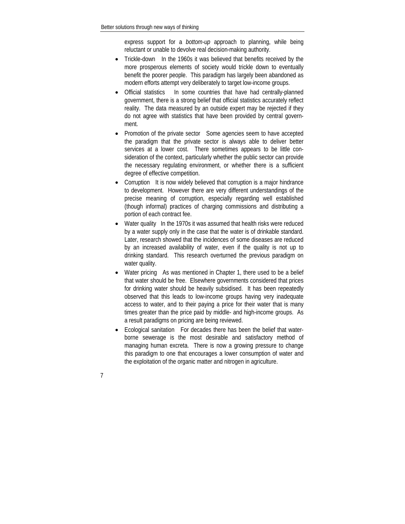express support for a *bottom-up* approach to planning, while being reluctant or unable to devolve real decision-making authority.

- Trickle-down In the 1960s it was believed that benefits received by the more prosperous elements of society would trickle down to eventually benefit the poorer people. This paradigm has largely been abandoned as modern efforts attempt very deliberately to target low-income groups.
- Official statistics In some countries that have had centrally-planned government, there is a strong belief that official statistics accurately reflect reality. The data measured by an outside expert may be rejected if they do not agree with statistics that have been provided by central government.
- Promotion of the private sector Some agencies seem to have accepted the paradigm that the private sector is always able to deliver better services at a lower cost. There sometimes appears to be little consideration of the context, particularly whether the public sector can provide the necessary regulating environment, or whether there is a sufficient degree of effective competition.
- Corruption It is now widely believed that corruption is a major hindrance to development. However there are very different understandings of the precise meaning of corruption, especially regarding well established (though informal) practices of charging commissions and distributing a portion of each contract fee.
- Water quality In the 1970s it was assumed that health risks were reduced by a water supply only in the case that the water is of drinkable standard. Later, research showed that the incidences of some diseases are reduced by an increased availability of water, even if the quality is not up to drinking standard. This research overturned the previous paradigm on water quality.
- Water pricing As was mentioned in Chapter 1, there used to be a belief that water should be free. Elsewhere governments considered that prices for drinking water should be heavily subsidised. It has been repeatedly observed that this leads to low-income groups having very inadequate access to water, and to their paying a price for their water that is many times greater than the price paid by middle- and high-income groups. As a result paradigms on pricing are being reviewed.
- Ecological sanitation For decades there has been the belief that waterborne sewerage is the most desirable and satisfactory method of managing human excreta. There is now a growing pressure to change this paradigm to one that encourages a lower consumption of water and the exploitation of the organic matter and nitrogen in agriculture.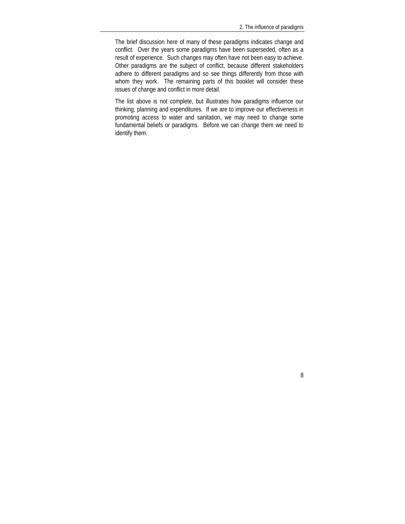The brief discussion here of many of these paradigms indicates change and conflict. Over the years some paradigms have been superseded, often as a result of experience. Such changes may often have not been easy to achieve. Other paradigms are the subject of conflict, because different stakeholders adhere to different paradigms and so see things differently from those with whom they work. The remaining parts of this booklet will consider these issues of change and conflict in more detail.

The list above is not complete, but illustrates how paradigms influence our thinking, planning and expenditures. If we are to improve our effectiveness in promoting access to water and sanitation, we may need to change some fundamental beliefs or paradigms. Before we can change them we need to identify them.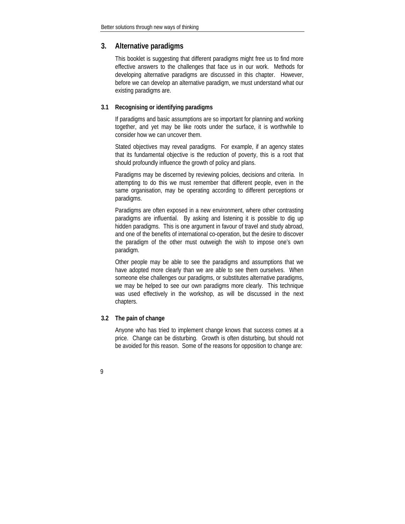#### <span id="page-12-0"></span>**3. Alternative paradigms**

This booklet is suggesting that different paradigms might free us to find more effective answers to the challenges that face us in our work. Methods for developing alternative paradigms are discussed in this chapter. However, before we can develop an alternative paradigm, we must understand what our existing paradigms are.

#### **3.1 Recognising or identifying paradigms**

If paradigms and basic assumptions are so important for planning and working together, and yet may be like roots under the surface, it is worthwhile to consider how we can uncover them.

Stated objectives may reveal paradigms. For example, if an agency states that its fundamental objective is the reduction of poverty, this is a root that should profoundly influence the growth of policy and plans.

Paradigms may be discerned by reviewing policies, decisions and criteria. In attempting to do this we must remember that different people, even in the same organisation, may be operating according to different perceptions or paradigms.

Paradigms are often exposed in a new environment, where other contrasting paradigms are influential. By asking and listening it is possible to dig up hidden paradigms. This is one argument in favour of travel and study abroad, and one of the benefits of international co-operation, but the desire to discover the paradigm of the other must outweigh the wish to impose one's own paradigm.

Other people may be able to see the paradigms and assumptions that we have adopted more clearly than we are able to see them ourselves. When someone else challenges our paradigms, or substitutes alternative paradigms, we may be helped to see our own paradigms more clearly. This technique was used effectively in the workshop, as will be discussed in the next chapters.

#### **3.2 The pain of change**

Anyone who has tried to implement change knows that success comes at a price. Change can be disturbing. Growth is often disturbing, but should not be avoided for this reason. Some of the reasons for opposition to change are: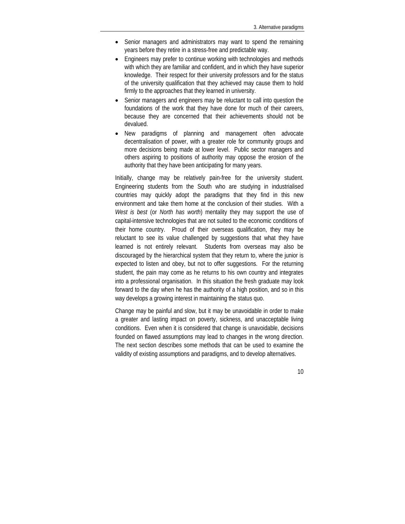- Senior managers and administrators may want to spend the remaining years before they retire in a stress-free and predictable way.
- Engineers may prefer to continue working with technologies and methods with which they are familiar and confident, and in which they have superior knowledge. Their respect for their university professors and for the status of the university qualification that they achieved may cause them to hold firmly to the approaches that they learned in university.
- Senior managers and engineers may be reluctant to call into question the foundations of the work that they have done for much of their careers, because they are concerned that their achievements should not be devalued.
- New paradigms of planning and management often advocate decentralisation of power, with a greater role for community groups and more decisions being made at lower level. Public sector managers and others aspiring to positions of authority may oppose the erosion of the authority that they have been anticipating for many years.

Initially, change may be relatively pain-free for the university student. Engineering students from the South who are studying in industrialised countries may quickly adopt the paradigms that they find in this new environment and take them home at the conclusion of their studies. With a *West is best* (or *North has worth*) mentality they may support the use of capital-intensive technologies that are not suited to the economic conditions of their home country. Proud of their overseas qualification, they may be reluctant to see its value challenged by suggestions that what they have learned is not entirely relevant. Students from overseas may also be discouraged by the hierarchical system that they return to, where the junior is expected to listen and obey, but not to offer suggestions. For the returning student, the pain may come as he returns to his own country and integrates into a professional organisation. In this situation the fresh graduate may look forward to the day when he has the authority of a high position, and so in this way develops a growing interest in maintaining the status quo.

Change may be painful and slow, but it may be unavoidable in order to make a greater and lasting impact on poverty, sickness, and unacceptable living conditions. Even when it is considered that change is unavoidable, decisions founded on flawed assumptions may lead to changes in the wrong direction. The next section describes some methods that can be used to examine the validity of existing assumptions and paradigms, and to develop alternatives.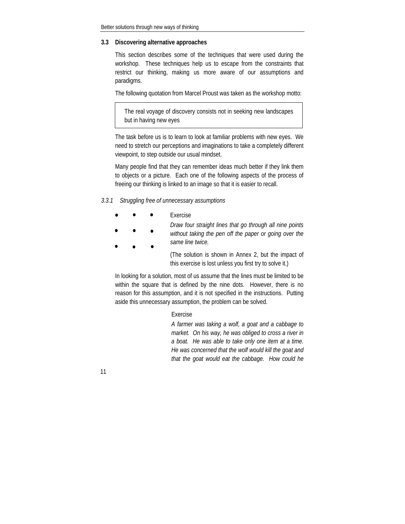#### <span id="page-14-0"></span>**3.3 Discovering alternative approaches**

This section describes some of the techniques that were used during the workshop. These techniques help us to escape from the constraints that restrict our thinking, making us more aware of our assumptions and paradigms.

The following quotation from Marcel Proust was taken as the workshop motto:

The real voyage of discovery consists not in seeking new landscapes but in having new eyes

The task before us is to learn to look at familiar problems with new eyes. We need to stretch our perceptions and imaginations to take a completely different viewpoint, to step outside our usual mindset.

Many people find that they can remember ideas much better if they link them to objects or a picture. Each one of the following aspects of the process of freeing our thinking is linked to an image so that it is easier to recall.

#### *3.3.1 Struggling free of unnecessary assumptions*

| Exercise |
|----------|
|----------|

*Draw four straight lines that go through all nine points without taking the pen off the paper or going over the same line twice.* 

> (The solution is shown in Annex 2, but the impact of this exercise is lost unless you first try to solve it.)

In looking for a solution, most of us assume that the lines must be limited to be within the square that is defined by the nine dots. However, there is no reason for this assumption, and it is not specified in the instructions. Putting aside this unnecessary assumption, the problem can be solved.

#### Exercise

*A farmer was taking a wolf, a goat and a cabbage to market. On his way, he was obliged to cross a river in a boat. He was able to take only one item at a time. He was concerned that the wolf would kill the goat and that the goat would eat the cabbage. How could he*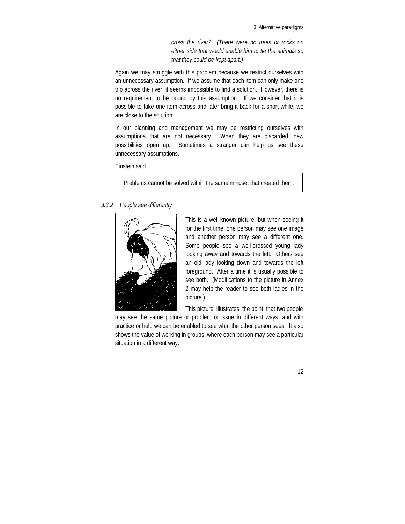*cross the river? (There were no trees or rocks on either side that would enable him to tie the animals so that they could be kept apart.)*

Again we may struggle with this problem because we restrict ourselves with an unnecessary assumption. If we assume that each item can only make one trip across the river, it seems impossible to find a solution. However, there is no requirement to be bound by this assumption. If we consider that it is possible to take one item across and later bring it back for a short while, we are close to the solution.

In our planning and management we may be restricting ourselves with assumptions that are not necessary. When they are discarded, new possibilities open up. Sometimes a stranger can help us see these unnecessary assumptions.

Einstein said

Problems cannot be solved within the same mindset that created them.

#### *3.3.2 People see differently*



This is a well-known picture, but when seeing it for the first time, one person may see one image and another person may see a different one. Some people see a well-dressed young lady looking away and towards the left. Others see an old lady looking down and towards the left foreground. After a time it is usually possible to see both. (Modifications to the picture in Annex 2 may help the reader to see both ladies in the picture.)

This picture illustrates the point that two people

may see the same picture or problem or issue in different ways, and with practice or help we can be enabled to see what the other person sees. It also shows the value of working in groups, where each person may see a particular situation in a different way.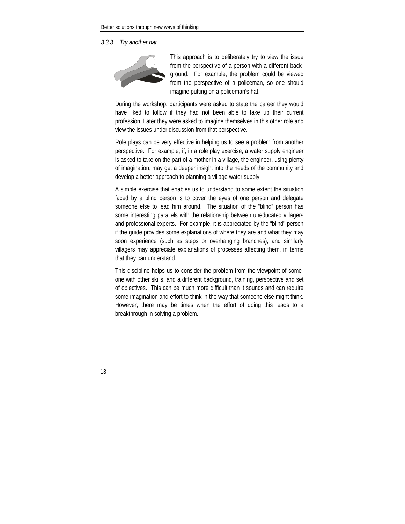#### *3.3.3 Try another hat*



This approach is to deliberately try to view the issue from the perspective of a person with a different background. For example, the problem could be viewed from the perspective of a policeman, so one should imagine putting on a policeman's hat.

During the workshop, participants were asked to state the career they would have liked to follow if they had not been able to take up their current profession. Later they were asked to imagine themselves in this other role and view the issues under discussion from that perspective.

Role plays can be very effective in helping us to see a problem from another perspective. For example, if, in a role play exercise, a water supply engineer is asked to take on the part of a mother in a village, the engineer, using plenty of imagination, may get a deeper insight into the needs of the community and develop a better approach to planning a village water supply.

A simple exercise that enables us to understand to some extent the situation faced by a blind person is to cover the eyes of one person and delegate someone else to lead him around. The situation of the "blind" person has some interesting parallels with the relationship between uneducated villagers and professional experts. For example, it is appreciated by the "blind" person if the guide provides some explanations of where they are and what they may soon experience (such as steps or overhanging branches), and similarly villagers may appreciate explanations of processes affecting them, in terms that they can understand.

This discipline helps us to consider the problem from the viewpoint of someone with other skills, and a different background, training, perspective and set of objectives. This can be much more difficult than it sounds and can require some imagination and effort to think in the way that someone else might think. However, there may be times when the effort of doing this leads to a breakthrough in solving a problem.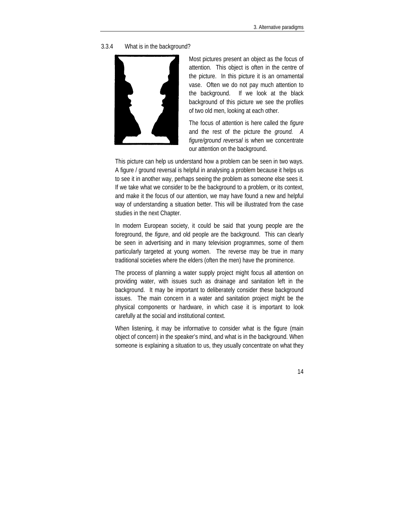3.3.4 What is in the background?



Most pictures present an object as the focus of attention. This object is often in the centre of the picture. In this picture it is an ornamental vase. Often we do not pay much attention to the background. If we look at the black background of this picture we see the profiles of two old men, looking at each other.

The focus of attention is here called the *figure* and the rest of the picture the *ground. A figure/ground reversal* is when we concentrate our attention on the background.

This picture can help us understand how a problem can be seen in two ways. A figure / ground reversal is helpful in analysing a problem because it helps us to see it in another way, perhaps seeing the problem as someone else sees it. If we take what we consider to be the background to a problem, or its context, and make it the focus of our attention, we may have found a new and helpful way of understanding a situation better. This will be illustrated from the case studies in the next Chapter.

In modern European society, it could be said that young people are the foreground, the *figure*, and old people are the background. This can clearly be seen in advertising and in many television programmes, some of them particularly targeted at young women. The reverse may be true in many traditional societies where the elders (often the men) have the prominence.

The process of planning a water supply project might focus all attention on providing water, with issues such as drainage and sanitation left in the background. It may be important to deliberately consider these background issues. The main concern in a water and sanitation project might be the physical components or hardware, in which case it is important to look carefully at the social and institutional context.

When listening, it may be informative to consider what is the figure (main object of concern) in the speaker's mind, and what is in the background. When someone is explaining a situation to us, they usually concentrate on what they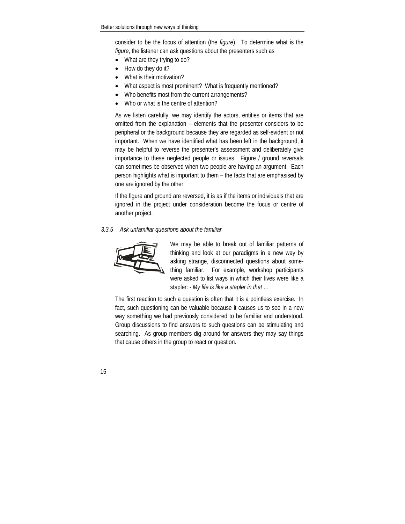consider to be the focus of attention (the *figure*). To determine what is the *figure*, the listener can ask questions about the presenters such as

- What are they trying to do?
- How do they do it?
- What is their motivation?
- What aspect is most prominent? What is frequently mentioned?
- Who benefits most from the current arrangements?
- Who or what is the centre of attention?

As we listen carefully, we may identify the actors, entities or items that are omitted from the explanation – elements that the presenter considers to be peripheral or the background because they are regarded as self-evident or not important. When we have identified what has been left in the background, it may be helpful to reverse the presenter's assessment and deliberately give importance to these neglected people or issues. Figure / ground reversals can sometimes be observed when two people are having an argument. Each person highlights what is important to them – the facts that are emphasised by one are ignored by the other.

If the figure and ground are reversed, it is as if the items or individuals that are ignored in the project under consideration become the focus or centre of another project.

#### *3.3.5 Ask unfamiliar questions about the familiar*



We may be able to break out of familiar patterns of thinking and look at our paradigms in a new way by asking strange, disconnected questions about something familiar. For example, workshop participants were asked to list ways in which their lives were like a stapler: - *My life is like a stapler in that …*

The first reaction to such a question is often that it is a pointless exercise. In fact, such questioning can be valuable because it causes us to see in a new way something we had previously considered to be familiar and understood. Group discussions to find answers to such questions can be stimulating and searching. As group members dig around for answers they may say things that cause others in the group to react or question.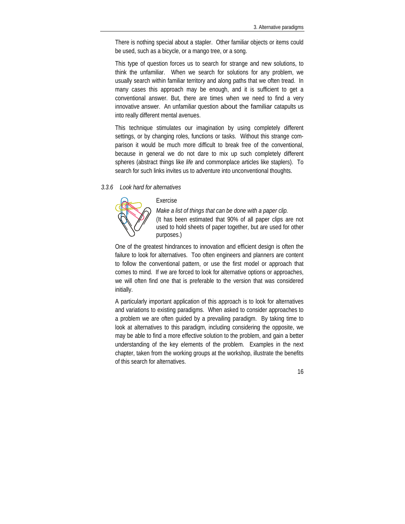There is nothing special about a stapler. Other familiar objects or items could be used, such as a bicycle, or a mango tree, or a song.

This type of question forces us to search for strange and new solutions, to think the unfamiliar. When we search for solutions for any problem, we usually search within familiar territory and along paths that we often tread. In many cases this approach may be enough, and it is sufficient to get a conventional answer. But, there are times when we need to find a very innovative answer. An unfamiliar question about the familiar catapults us into really different mental avenues.

This technique stimulates our imagination by using completely different settings, or by changing roles, functions or tasks. Without this strange comparison it would be much more difficult to break free of the conventional, because in general we do not dare to mix up such completely different spheres (abstract things like *life* and commonplace articles like staplers). To search for such links invites us to adventure into unconventional thoughts.

#### *3.3.6 Look hard for alternatives*



#### Exercise

*Make a list of things that can be done with a paper clip.*  (It has been estimated that 90% of all paper clips are not used to hold sheets of paper together, but are used for other purposes.)

One of the greatest hindrances to innovation and efficient design is often the failure to look for alternatives. Too often engineers and planners are content to follow the conventional pattern, or use the first model or approach that comes to mind. If we are forced to look for alternative options or approaches, we will often find one that is preferable to the version that was considered initially.

A particularly important application of this approach is to look for alternatives and variations to existing paradigms. When asked to consider approaches to a problem we are often guided by a prevailing paradigm. By taking time to look at alternatives to this paradigm, including considering the opposite, we may be able to find a more effective solution to the problem, and gain a better understanding of the key elements of the problem. Examples in the next chapter, taken from the working groups at the workshop, illustrate the benefits of this search for alternatives.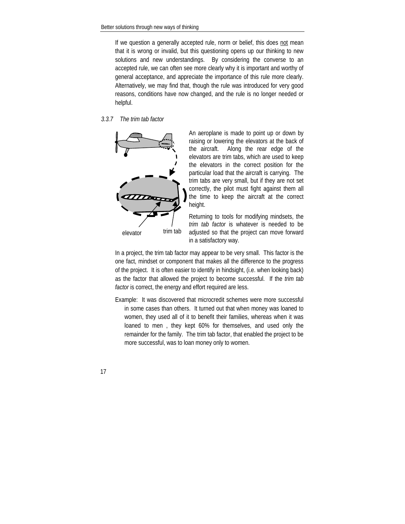If we question a generally accepted rule, norm or belief, this does not mean that it is wrong or invalid, but this questioning opens up our thinking to new solutions and new understandings. By considering the converse to an accepted rule, we can often see more clearly why it is important and worthy of general acceptance, and appreciate the importance of this rule more clearly. Alternatively, we may find that, though the rule was introduced for very good reasons, conditions have now changed, and the rule is no longer needed or helpful.

#### *3.3.7 The trim tab factor*



An aeroplane is made to point up or down by raising or lowering the elevators at the back of the aircraft. Along the rear edge of the elevators are trim tabs, which are used to keep the elevators in the correct position for the particular load that the aircraft is carrying. The trim tabs are very small, but if they are not set correctly, the pilot must fight against them all the time to keep the aircraft at the correct height.

Returning to tools for modifying mindsets, the *trim tab factor* is whatever is needed to be adjusted so that the project can move forward in a satisfactory way.

In a project, the trim tab factor may appear to be very small. This factor is the one fact, mindset or component that makes all the difference to the progress of the project. It is often easier to identify in hindsight, (i.e. when looking back) as the factor that allowed the project to become successful. If the *trim tab factor* is correct, the energy and effort required are less.

Example: It was discovered that microcredit schemes were more successful in some cases than others. It turned out that when money was loaned to women, they used all of it to benefit their families, whereas when it was loaned to men , they kept 60% for themselves, and used only the remainder for the family. The trim tab factor, that enabled the project to be more successful, was to loan money only to women.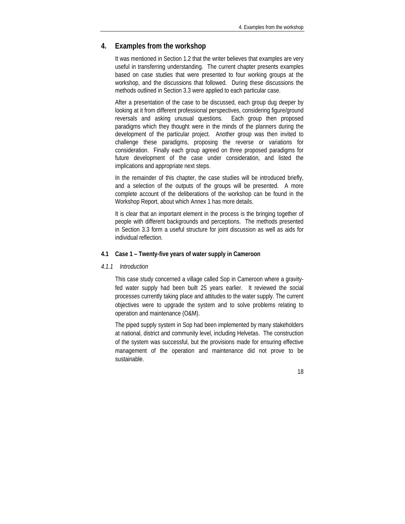#### <span id="page-21-0"></span>**4. Examples from the workshop**

It was mentioned in Section 1.2 that the writer believes that examples are very useful in transferring understanding. The current chapter presents examples based on case studies that were presented to four working groups at the workshop, and the discussions that followed. During these discussions the methods outlined in Section 3.3 were applied to each particular case.

After a presentation of the case to be discussed, each group dug deeper by looking at it from different professional perspectives, considering figure/ground reversals and asking unusual questions. Each group then proposed paradigms which they thought were in the minds of the planners during the development of the particular project. Another group was then invited to challenge these paradigms, proposing the reverse or variations for consideration. Finally each group agreed on three proposed paradigms for future development of the case under consideration, and listed the implications and appropriate next steps.

In the remainder of this chapter, the case studies will be introduced briefly, and a selection of the outputs of the groups will be presented. A more complete account of the deliberations of the workshop can be found in the Workshop Report, about which Annex 1 has more details.

It is clear that an important element in the process is the bringing together of people with different backgrounds and perceptions. The methods presented in Section 3.3 form a useful structure for joint discussion as well as aids for individual reflection.

#### **4.1 Case 1 – Twenty-five years of water supply in Cameroon**

#### *4.1.1 Introduction*

This case study concerned a village called Sop in Cameroon where a gravityfed water supply had been built 25 years earlier. It reviewed the social processes currently taking place and attitudes to the water supply. The current objectives were to upgrade the system and to solve problems relating to operation and maintenance (O&M).

The piped supply system in Sop had been implemented by many stakeholders at national, district and community level, including Helvetas. The construction of the system was successful, but the provisions made for ensuring effective management of the operation and maintenance did not prove to be sustainable.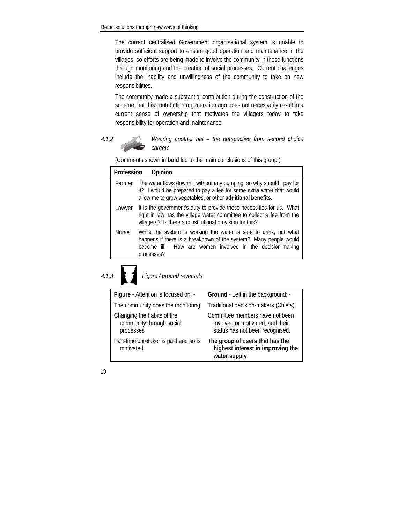The current centralised Government organisational system is unable to provide sufficient support to ensure good operation and maintenance in the villages, so efforts are being made to involve the community in these functions through monitoring and the creation of social processes. Current challenges include the inability and unwillingness of the community to take on new responsibilities.

The community made a substantial contribution during the construction of the scheme, but this contribution a generation ago does not necessarily result in a current sense of ownership that motivates the villagers today to take responsibility for operation and maintenance.



*4.1.2 Wearing another hat – the perspective from second choice careers.* 

(Comments shown in **bold** led to the main conclusions of this group.)

| Profession   | Opinion                                                                                                                                                                                                         |
|--------------|-----------------------------------------------------------------------------------------------------------------------------------------------------------------------------------------------------------------|
| Farmer       | The water flows downhill without any pumping, so why should I pay for<br>it? I would be prepared to pay a fee for some extra water that would<br>allow me to grow vegetables, or other additional benefits.     |
| Lawyer       | It is the government's duty to provide these necessities for us. What<br>right in law has the village water committee to collect a fee from the<br>villagers? Is there a constitutional provision for this?     |
| <b>Nurse</b> | While the system is working the water is safe to drink, but what<br>happens if there is a breakdown of the system? Many people would<br>become ill. How are women involved in the decision-making<br>processes? |
|              |                                                                                                                                                                                                                 |



*4.1.3 Figure / ground reversals* 

| Figure - Attention is focused on: -                                 | Ground - Left in the background: -                                                                     |  |  |  |
|---------------------------------------------------------------------|--------------------------------------------------------------------------------------------------------|--|--|--|
| The community does the monitoring                                   | Traditional decision-makers (Chiefs)                                                                   |  |  |  |
| Changing the habits of the<br>community through social<br>processes | Committee members have not been<br>involved or motivated, and their<br>status has not been recognised. |  |  |  |
| Part-time caretaker is paid and so is<br>motivated.                 | The group of users that has the<br>highest interest in improving the<br>water supply                   |  |  |  |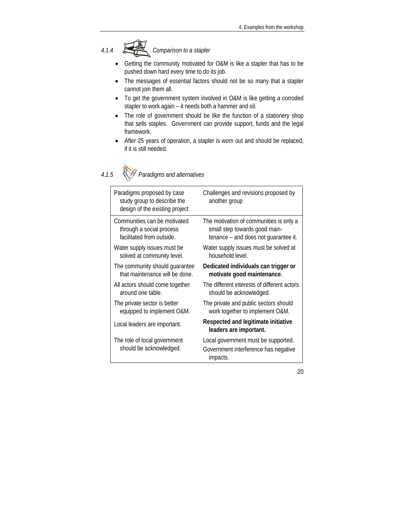

- Getting the community motivated for O&M is like a stapler that has to be pushed down hard every time to do its job.
- The messages of essential factors should not be so many that a stapler cannot join them all.
- To get the government system involved in O&M is like getting a corroded stapler to work again – it needs both a hammer and oil.
- The role of government should be like the function of a stationery shop that sells staples. Government can provide support, funds and the legal framework.
- After 25 years of operation, a stapler is worn out and should be replaced, if it is still needed.



## *4.1.5 Paradigms and alternatives*

| Paradigms proposed by case<br>study group to describe the<br>design of the existing project | Challenges and revisions proposed by<br>another group                                   |
|---------------------------------------------------------------------------------------------|-----------------------------------------------------------------------------------------|
| Communities can be motivated                                                                | The motivation of communities is only a                                                 |
| through a social process                                                                    | small step towards good main-                                                           |
| facilitated from outside.                                                                   | tenance – and does not guarantee it.                                                    |
| Water supply issues must be                                                                 | Water supply issues must be solved at                                                   |
| solved at community level.                                                                  | household level.                                                                        |
| The community should guarantee                                                              | Dedicated individuals can trigger or                                                    |
| that maintenance will be done.                                                              | motivate good maintenance.                                                              |
| All actors should come together                                                             | The different interests of different actors                                             |
| around one table.                                                                           | should be acknowledged.                                                                 |
| The private sector is better                                                                | The private and public sectors should                                                   |
| equipped to implement O&M.                                                                  | work together to implement O&M.                                                         |
| Local leaders are important.                                                                | Respected and legitimate initiative<br>leaders are important.                           |
| The role of local government<br>should be acknowledged.                                     | Local government must be supported.<br>Government interference has negative<br>impacts. |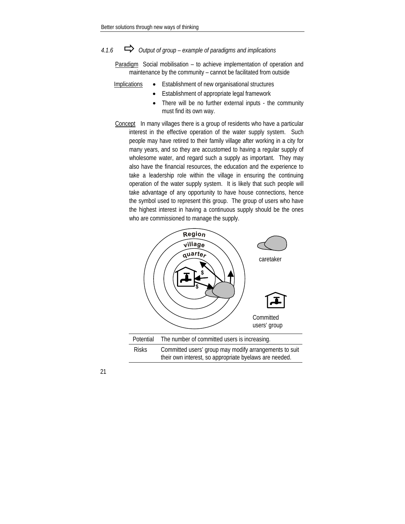### *4.1.6* Ö *Output of group – example of paradigms and implications*

Paradigm Social mobilisation – to achieve implementation of operation and maintenance by the community – cannot be facilitated from outside

- Implications Establishment of new organisational structures
	- Establishment of appropriate legal framework
		- There will be no further external inputs the community must find its own way.
- Concept In many villages there is a group of residents who have a particular interest in the effective operation of the water supply system. Such people may have retired to their family village after working in a city for many years, and so they are accustomed to having a regular supply of wholesome water, and regard such a supply as important. They may also have the financial resources, the education and the experience to take a leadership role within the village in ensuring the continuing operation of the water supply system. It is likely that such people will take advantage of any opportunity to have house connections, hence the symbol used to represent this group. The group of users who have the highest interest in having a continuous supply should be the ones who are commissioned to manage the supply.

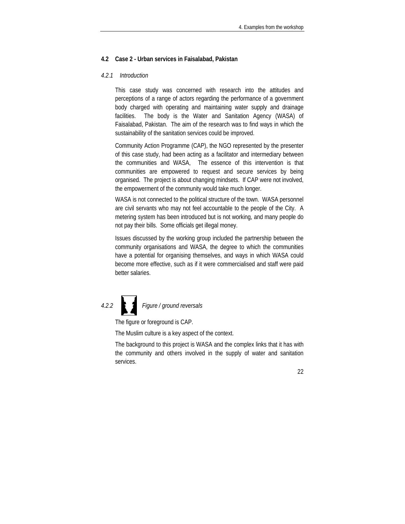#### <span id="page-25-0"></span>**4.2 Case 2 - Urban services in Faisalabad, Pakistan**

#### *4.2.1 Introduction*

This case study was concerned with research into the attitudes and perceptions of a range of actors regarding the performance of a government body charged with operating and maintaining water supply and drainage facilities. The body is the Water and Sanitation Agency (WASA) of Faisalabad, Pakistan. The aim of the research was to find ways in which the sustainability of the sanitation services could be improved.

Community Action Programme (CAP), the NGO represented by the presenter of this case study, had been acting as a facilitator and intermediary between the communities and WASA, The essence of this intervention is that communities are empowered to request and secure services by being organised. The project is about changing mindsets. If CAP were not involved, the empowerment of the community would take much longer.

WASA is not connected to the political structure of the town. WASA personnel are civil servants who may not feel accountable to the people of the City. A metering system has been introduced but is not working, and many people do not pay their bills. Some officials get illegal money.

Issues discussed by the working group included the partnership between the community organisations and WASA, the degree to which the communities have a potential for organising themselves, and ways in which WASA could become more effective, such as if it were commercialised and staff were paid better salaries.

# *4.2.2 Figure / ground reversals*

The figure or foreground is CAP.

The Muslim culture is a key aspect of the context.

The background to this project is WASA and the complex links that it has with the community and others involved in the supply of water and sanitation services.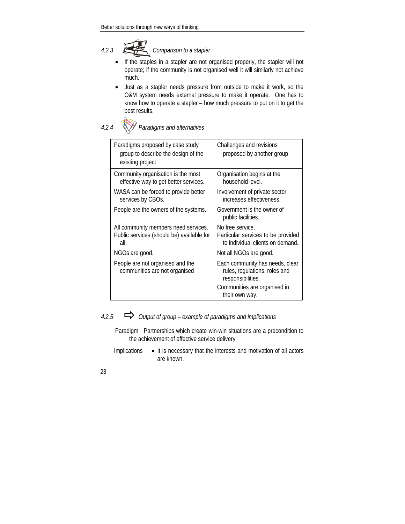*4.2.3 Comparison to a stapler* 

- If the staples in a stapler are not organised properly, the stapler will not operate; if the community is not organised well it will similarly not achieve much.
- Just as a stapler needs pressure from outside to make it work, so the O&M system needs external pressure to make it operate. One has to know how to operate a stapler – how much pressure to put on it to get the best results.



*4.2.4 Paradigms and alternatives* 

| Paradigms proposed by case study<br>group to describe the design of the<br>existing project | Challenges and revisions<br>proposed by another group                                      |  |
|---------------------------------------------------------------------------------------------|--------------------------------------------------------------------------------------------|--|
| Community organisation is the most<br>effective way to get better services.                 | Organisation begins at the<br>household level.                                             |  |
| WASA can be forced to provide better<br>services by CBOs.                                   | Involvement of private sector<br>increases effectiveness.                                  |  |
| People are the owners of the systems.                                                       | Government is the owner of<br>public facilities.                                           |  |
| All community members need services.<br>Public services (should be) available for<br>all.   | No free service.<br>Particular services to be provided<br>to individual clients on demand. |  |
| NGOs are good.                                                                              | Not all NGOs are good.                                                                     |  |
| People are not organised and the<br>communities are not organised                           | Each community has needs, clear<br>rules, regulations, roles and<br>responsibilities.      |  |
|                                                                                             | Communities are organised in<br>their own way.                                             |  |

*4.2.5* Ö *Output of group – example of paradigms and implications* 

Paradigm Partnerships which create win-win situations are a precondition to the achievement of effective service delivery

Implications • It is necessary that the interests and motivation of all actors are known.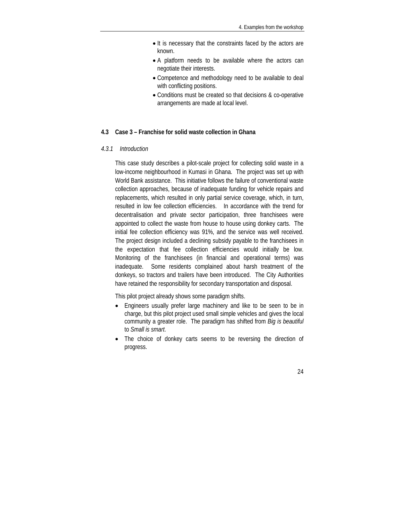- <span id="page-27-0"></span>• It is necessary that the constraints faced by the actors are known.
- A platform needs to be available where the actors can negotiate their interests.
- Competence and methodology need to be available to deal with conflicting positions.
- Conditions must be created so that decisions & co-operative arrangements are made at local level.

#### **4.3 Case 3 – Franchise for solid waste collection in Ghana**

#### *4.3.1 Introduction*

This case study describes a pilot-scale project for collecting solid waste in a low-income neighbourhood in Kumasi in Ghana. The project was set up with World Bank assistance. This initiative follows the failure of conventional waste collection approaches, because of inadequate funding for vehicle repairs and replacements, which resulted in only partial service coverage, which, in turn, resulted in low fee collection efficiencies. In accordance with the trend for decentralisation and private sector participation, three franchisees were appointed to collect the waste from house to house using donkey carts. The initial fee collection efficiency was 91%, and the service was well received. The project design included a declining subsidy payable to the franchisees in the expectation that fee collection efficiencies would initially be low. Monitoring of the franchisees (in financial and operational terms) was inadequate. Some residents complained about harsh treatment of the donkeys, so tractors and trailers have been introduced. The City Authorities have retained the responsibility for secondary transportation and disposal.

This pilot project already shows some paradigm shifts.

- Engineers usually prefer large machinery and like to be seen to be in charge, but this pilot project used small simple vehicles and gives the local community a greater role. The paradigm has shifted from *Big is beautiful* to *Small is smart*.
- The choice of donkey carts seems to be reversing the direction of progress.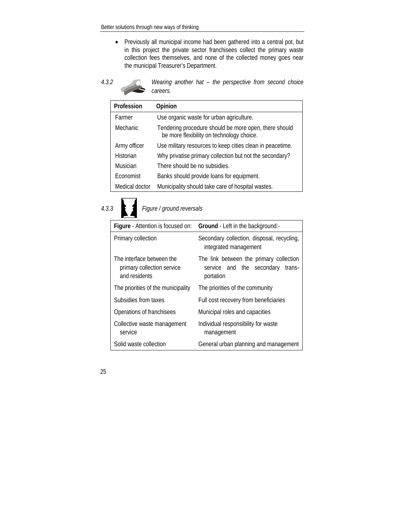• Previously all municipal income had been gathered into a central pot, but in this project the private sector franchisees collect the primary waste collection fees themselves, and none of the collected money goes near the municipal Treasurer's Department.



*4.3.2 Wearing another hat – the perspective from second choice careers.* 

| Profession     | Opinion                                                                                            |
|----------------|----------------------------------------------------------------------------------------------------|
| Farmer         | Use organic waste for urban agriculture.                                                           |
| Mechanic       | Tendering procedure should be more open, there should<br>be more flexibility on technology choice. |
| Army officer   | Use military resources to keep cities clean in peacetime.                                          |
| Historian      | Why privatise primary collection but not the secondary?                                            |
| Musician       | There should be no subsidies.                                                                      |
| Economist      | Banks should provide loans for equipment.                                                          |
| Medical doctor | Municipality should take care of hospital wastes.                                                  |



## *4.3.3 Figure / ground reversals*

| Figure - Attention is focused on:                                        | Ground - Left in the background:-                                                           |  |  |  |  |  |
|--------------------------------------------------------------------------|---------------------------------------------------------------------------------------------|--|--|--|--|--|
| Primary collection                                                       | Secondary collection, disposal, recycling,<br>integrated management                         |  |  |  |  |  |
| The interface between the<br>primary collection service<br>and residents | The link between the primary collection<br>service and the secondary<br>trans-<br>portation |  |  |  |  |  |
| The priorities of the municipality                                       | The priorities of the community                                                             |  |  |  |  |  |
| Subsidies from taxes                                                     | Full cost recovery from beneficiaries                                                       |  |  |  |  |  |
| Operations of franchisees                                                | Municipal roles and capacities                                                              |  |  |  |  |  |
| Collective waste management<br>service                                   | Individual responsibility for waste<br>management                                           |  |  |  |  |  |
| Solid waste collection                                                   | General urban planning and management                                                       |  |  |  |  |  |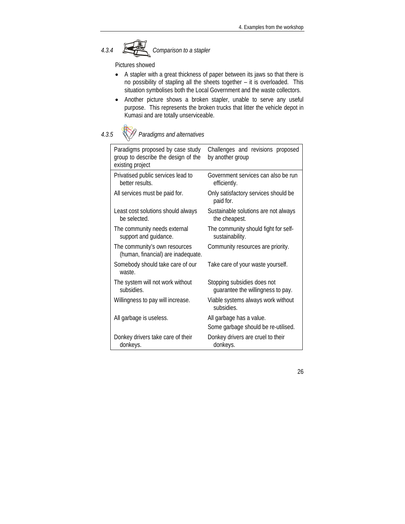*4.3.4 Comparison to a stapler* 

Pictures showed

- A stapler with a great thickness of paper between its jaws so that there is no possibility of stapling all the sheets together – it is overloaded. This situation symbolises both the Local Government and the waste collectors.
- Another picture shows a broken stapler, unable to serve any useful purpose. This represents the broken trucks that litter the vehicle depot in Kumasi and are totally unserviceable.

*4.3.5 Paradigms and alternatives* 

| Paradigms proposed by case study<br>group to describe the design of the<br>existing project | Challenges and revisions proposed<br>by another group            |  |  |  |  |  |
|---------------------------------------------------------------------------------------------|------------------------------------------------------------------|--|--|--|--|--|
| Privatised public services lead to<br>better results.                                       | Government services can also be run<br>efficiently.              |  |  |  |  |  |
| All services must be paid for.                                                              | Only satisfactory services should be<br>paid for.                |  |  |  |  |  |
| Least cost solutions should always<br>be selected.                                          | Sustainable solutions are not always<br>the cheapest.            |  |  |  |  |  |
| The community needs external<br>support and guidance.                                       | The community should fight for self-<br>sustainability.          |  |  |  |  |  |
| The community's own resources<br>(human, financial) are inadequate.                         | Community resources are priority.                                |  |  |  |  |  |
| Somebody should take care of our<br>waste.                                                  | Take care of your waste yourself.                                |  |  |  |  |  |
| The system will not work without<br>subsidies.                                              | Stopping subsidies does not<br>guarantee the willingness to pay. |  |  |  |  |  |
| Willingness to pay will increase.                                                           | Viable systems always work without<br>subsidies.                 |  |  |  |  |  |
| All garbage is useless.                                                                     | All garbage has a value.<br>Some garbage should be re-utilised.  |  |  |  |  |  |
| Donkey drivers take care of their<br>donkeys.                                               | Donkey drivers are cruel to their<br>donkeys.                    |  |  |  |  |  |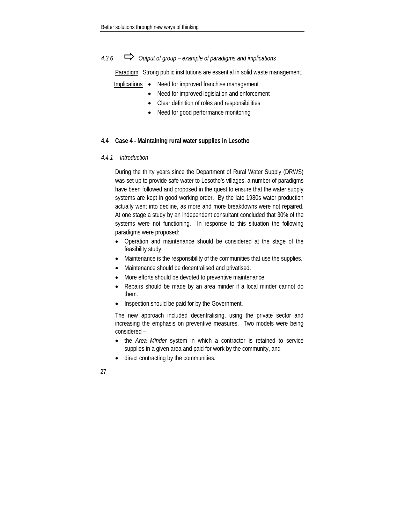### <span id="page-30-0"></span>*4.3.6* Ö *Output of group – example of paradigms and implications*

Paradigm Strong public institutions are essential in solid waste management.

- Implications Need for improved franchise management
	- Need for improved legislation and enforcement
	- Clear definition of roles and responsibilities
	- Need for good performance monitoring

#### **4.4 Case 4 - Maintaining rural water supplies in Lesotho**

#### *4.4.1 Introduction*

During the thirty years since the Department of Rural Water Supply (DRWS) was set up to provide safe water to Lesotho's villages, a number of paradigms have been followed and proposed in the quest to ensure that the water supply systems are kept in good working order. By the late 1980s water production actually went into decline, as more and more breakdowns were not repaired. At one stage a study by an independent consultant concluded that 30% of the systems were not functioning. In response to this situation the following paradigms were proposed:

- Operation and maintenance should be considered at the stage of the feasibility study.
- Maintenance is the responsibility of the communities that use the supplies.
- Maintenance should be decentralised and privatised.
- More efforts should be devoted to preventive maintenance.
- Repairs should be made by an area minder if a local minder cannot do them.
- Inspection should be paid for by the Government.

The new approach included decentralising, using the private sector and increasing the emphasis on preventive measures. Two models were being considered –

- the *Area Minder* system in which a contractor is retained to service supplies in a given area and paid for work by the community, and
- direct contracting by the communities.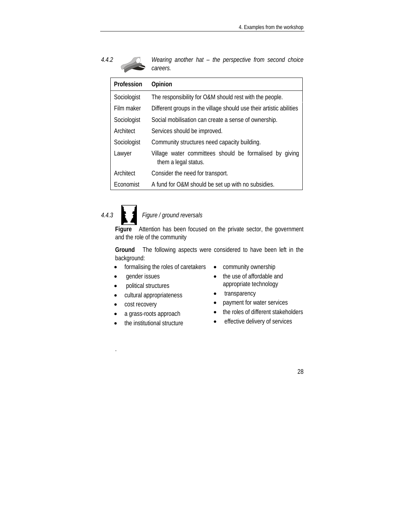| 4.4.2 Wearing another hat $-$ the perspective from second choice careers. |  |  |  |  |
|---------------------------------------------------------------------------|--|--|--|--|
|                                                                           |  |  |  |  |

| Profession  | Opinion                                                                         |
|-------------|---------------------------------------------------------------------------------|
| Sociologist | The responsibility for O&M should rest with the people.                         |
| Film maker  | Different groups in the village should use their artistic abilities             |
| Sociologist | Social mobilisation can create a sense of ownership.                            |
| Architect   | Services should be improved.                                                    |
| Sociologist | Community structures need capacity building.                                    |
| Lawyer      | Village water committees should be formalised by giving<br>them a legal status. |
| Architect   | Consider the need for transport.                                                |
| Economist   | A fund for O&M should be set up with no subsidies.                              |

# *4.4.3 Figure / ground reversals*

**Figure** Attention has been focused on the private sector, the government and the role of the community

**Ground** The following aspects were considered to have been left in the background:

- formalising the roles of caretakers
- gender issues
- political structures
- cultural appropriateness
- cost recovery

.

- a grass-roots approach
- the institutional structure
- community ownership
- the use of affordable and appropriate technology
- transparency
- payment for water services
- the roles of different stakeholders
- effective delivery of services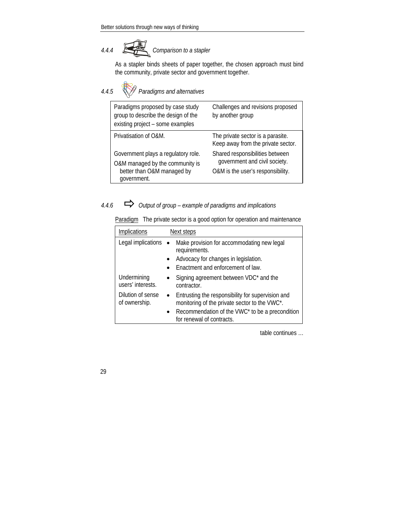# *4.4.4 Comparison to a stapler*

As a stapler binds sheets of paper together, the chosen approach must bind the community, private sector and government together.

| 4.4.5 | Paradigms and alternatives                                                                                          |                                                                                                       |
|-------|---------------------------------------------------------------------------------------------------------------------|-------------------------------------------------------------------------------------------------------|
|       | Paradigms proposed by case study<br>group to describe the design of the<br>existing project - some examples         | Challenges and revisions proposed<br>by another group                                                 |
|       | Privatisation of O&M.                                                                                               | The private sector is a parasite.<br>Keep away from the private sector.                               |
|       | Government plays a regulatory role.<br>O&M managed by the community is<br>better than O&M managed by<br>government. | Shared responsibilities between<br>government and civil society.<br>O&M is the user's responsibility. |

## *4.4.6* Ö *Output of group – example of paradigms and implications*

Paradigm The private sector is a good option for operation and maintenance

| <b>Implications</b>                | Next steps                                                                                                                               |
|------------------------------------|------------------------------------------------------------------------------------------------------------------------------------------|
| Legal implications •               | Make provision for accommodating new legal<br>requirements.<br>Advocacy for changes in legislation.<br>Enactment and enforcement of law. |
| Undermining<br>users' interests.   | Signing agreement between VDC* and the<br>contractor.                                                                                    |
| Dilution of sense<br>of ownership. | Entrusting the responsibility for supervision and<br>monitoring of the private sector to the VWC*.                                       |
|                                    | Recommendation of the VWC* to be a precondition<br>for renewal of contracts.                                                             |

table continues …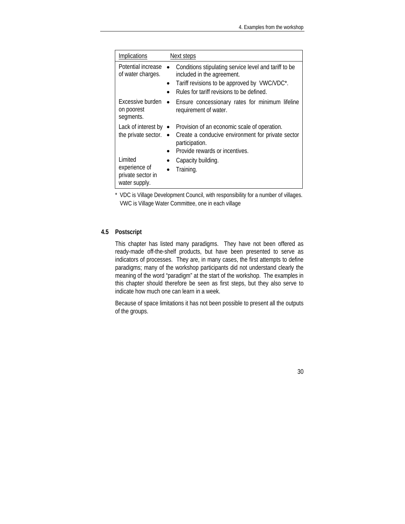<span id="page-33-0"></span>

| <b>Implications</b>                                            | Next steps                                                                                                                                                                                    |
|----------------------------------------------------------------|-----------------------------------------------------------------------------------------------------------------------------------------------------------------------------------------------|
| Potential increase<br>of water charges.                        | Conditions stipulating service level and tariff to be<br>included in the agreement.<br>Tariff revisions to be approved by VWC/VDC*.<br>$\bullet$<br>Rules for tariff revisions to be defined. |
| Excessive burden<br>on poorest<br>segments.                    | Ensure concessionary rates for minimum lifeline<br>$\bullet$<br>requirement of water.                                                                                                         |
| the private sector. $\bullet$                                  | Lack of interest by • Provision of an economic scale of operation.<br>Create a conducive environment for private sector<br>participation.<br>Provide rewards or incentives.                   |
| Limited<br>experience of<br>private sector in<br>water supply. | Capacity building.<br>Training.                                                                                                                                                               |

\* VDC is Village Development Council, with responsibility for a number of villages. VWC is Village Water Committee, one in each village

#### **4.5 Postscript**

This chapter has listed many paradigms. They have not been offered as ready-made off-the-shelf products, but have been presented to serve as indicators of processes. They are, in many cases, the first attempts to define paradigms; many of the workshop participants did not understand clearly the meaning of the word "paradigm" at the start of the workshop. The examples in this chapter should therefore be seen as first steps, but they also serve to indicate how much one can learn in a week.

Because of space limitations it has not been possible to present all the outputs of the groups.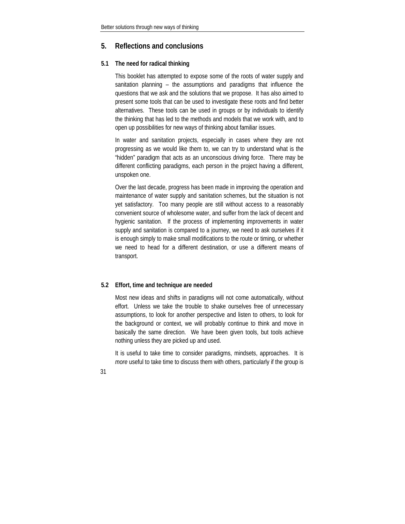#### <span id="page-34-0"></span>**5. Reflections and conclusions**

#### **5.1 The need for radical thinking**

This booklet has attempted to expose some of the roots of water supply and sanitation planning – the assumptions and paradigms that influence the questions that we ask and the solutions that we propose. It has also aimed to present some tools that can be used to investigate these roots and find better alternatives. These tools can be used in groups or by individuals to identify the thinking that has led to the methods and models that we work with, and to open up possibilities for new ways of thinking about familiar issues.

In water and sanitation projects, especially in cases where they are not progressing as we would like them to, we can try to understand what is the "hidden" paradigm that acts as an unconscious driving force. There may be different conflicting paradigms, each person in the project having a different, unspoken one.

Over the last decade, progress has been made in improving the operation and maintenance of water supply and sanitation schemes, but the situation is not yet satisfactory. Too many people are still without access to a reasonably convenient source of wholesome water, and suffer from the lack of decent and hygienic sanitation. If the process of implementing improvements in water supply and sanitation is compared to a journey, we need to ask ourselves if it is enough simply to make small modifications to the route or timing, or whether we need to head for a different destination, or use a different means of transport.

#### **5.2 Effort, time and technique are needed**

Most new ideas and shifts in paradigms will not come automatically, without effort. Unless we take the trouble to shake ourselves free of unnecessary assumptions, to look for another perspective and listen to others, to look for the background or context, we will probably continue to think and move in basically the same direction. We have been given tools, but tools achieve nothing unless they are picked up and used.

It is useful to take time to consider paradigms, mindsets, approaches. It is *more* useful to take time to discuss them with others, particularly if the group is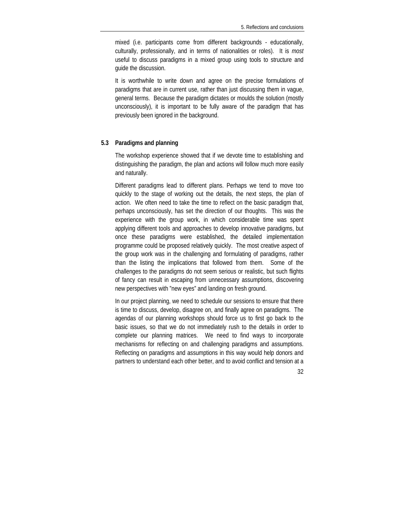<span id="page-35-0"></span>mixed (i.e. participants come from different backgrounds - educationally, culturally, professionally, and in terms of nationalities or roles). It is *most* useful to discuss paradigms in a mixed group using tools to structure and guide the discussion.

It is worthwhile to write down and agree on the precise formulations of paradigms that are in current use, rather than just discussing them in vague, general terms. Because the paradigm dictates or moulds the solution (mostly unconsciously), it is important to be fully aware of the paradigm that has previously been ignored in the background.

#### **5.3 Paradigms and planning**

The workshop experience showed that if we devote time to establishing and distinguishing the paradigm, the plan and actions will follow much more easily and naturally.

Different paradigms lead to different plans. Perhaps we tend to move too quickly to the stage of working out the details, the next steps, the plan of action. We often need to take the time to reflect on the basic paradigm that, perhaps unconsciously, has set the direction of our thoughts. This was the experience with the group work, in which considerable time was spent applying different tools and approaches to develop innovative paradigms, but once these paradigms were established, the detailed implementation programme could be proposed relatively quickly. The most creative aspect of the group work was in the challenging and formulating of paradigms, rather than the listing the implications that followed from them. Some of the challenges to the paradigms do not seem serious or realistic, but such flights of fancy can result in escaping from unnecessary assumptions, discovering new perspectives with "new eyes" and landing on fresh ground.

In our project planning, we need to schedule our sessions to ensure that there is time to discuss, develop, disagree on, and finally agree on paradigms. The agendas of our planning workshops should force us to first go back to the basic issues, so that we do not immediately rush to the details in order to complete our planning matrices. We need to find ways to incorporate mechanisms for reflecting on and challenging paradigms and assumptions. Reflecting on paradigms and assumptions in this way would help donors and partners to understand each other better, and to avoid conflict and tension at a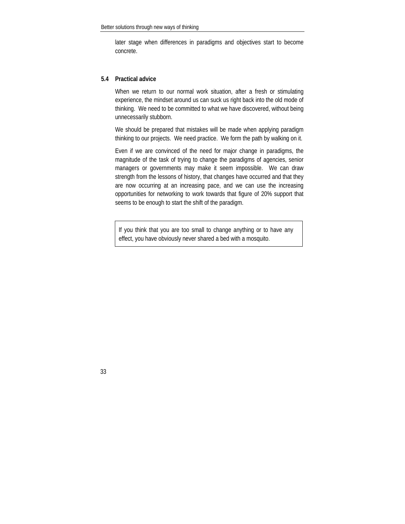<span id="page-36-0"></span>later stage when differences in paradigms and objectives start to become concrete.

#### **5.4 Practical advice**

When we return to our normal work situation, after a fresh or stimulating experience, the mindset around us can suck us right back into the old mode of thinking. We need to be committed to what we have discovered, without being unnecessarily stubborn.

We should be prepared that mistakes will be made when applying paradigm thinking to our projects. We need practice. We form the path by walking on it.

Even if we are convinced of the need for major change in paradigms, the magnitude of the task of trying to change the paradigms of agencies, senior managers or governments may make it seem impossible. We can draw strength from the lessons of history, that changes have occurred and that they are now occurring at an increasing pace, and we can use the increasing opportunities for networking to work towards that figure of 20% support that seems to be enough to start the shift of the paradigm.

If you think that you are too small to change anything or to have any effect, you have obviously never shared a bed with a mosquito.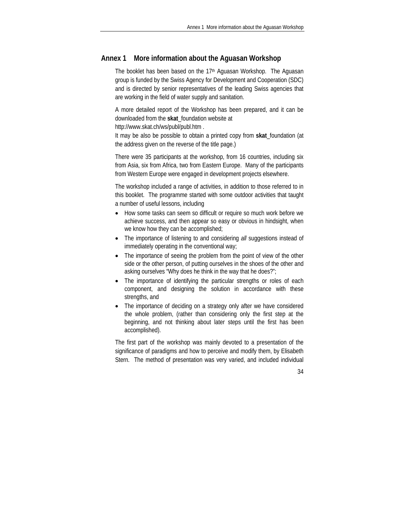#### <span id="page-37-0"></span>**Annex 1 More information about the Aguasan Workshop**

The booklet has been based on the 17<sup>th</sup> Aguasan Workshop. The Aguasan group is funded by the Swiss Agency for Development and Cooperation (SDC) and is directed by senior representatives of the leading Swiss agencies that are working in the field of water supply and sanitation.

A more detailed report of the Workshop has been prepared, and it can be downloaded from the **skat**\_foundation website at

http://www.skat.ch/ws/publ/publ.htm .

It may be also be possible to obtain a printed copy from **skat**\_foundation (at the address given on the reverse of the title page.)

There were 35 participants at the workshop, from 16 countries, including six from Asia, six from Africa, two from Eastern Europe. Many of the participants from Western Europe were engaged in development projects elsewhere.

The workshop included a range of activities, in addition to those referred to in this booklet. The programme started with some outdoor activities that taught a number of useful lessons, including

- How some tasks can seem so difficult or require so much work before we achieve success, and then appear so easy or obvious in hindsight, when we know how they can be accomplished;
- The importance of listening to and considering *all* suggestions instead of immediately operating in the conventional way;
- The importance of seeing the problem from the point of view of the other side or the other person, of putting ourselves in the shoes of the other and asking ourselves "Why does he think in the way that he does?";
- The importance of identifying the particular strengths or roles of each component, and designing the solution in accordance with these strengths, and
- The importance of deciding on a strategy only after we have considered the whole problem, (rather than considering only the first step at the beginning, and not thinking about later steps until the first has been accomplished).

The first part of the workshop was mainly devoted to a presentation of the significance of paradigms and how to perceive and modify them, by Elisabeth Stern. The method of presentation was very varied, and included individual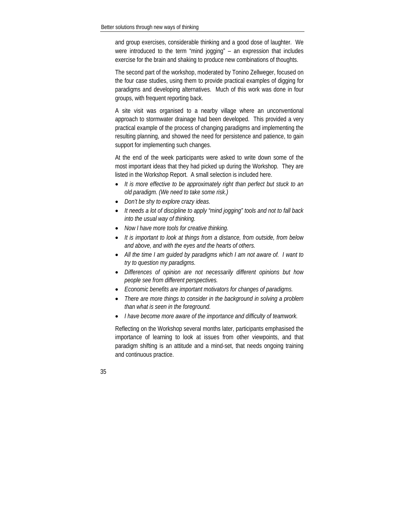and group exercises, considerable thinking and a good dose of laughter. We were introduced to the term "mind jogging" – an expression that includes exercise for the brain and shaking to produce new combinations of thoughts.

The second part of the workshop, moderated by Tonino Zellweger, focused on the four case studies, using them to provide practical examples of digging for paradigms and developing alternatives. Much of this work was done in four groups, with frequent reporting back.

A site visit was organised to a nearby village where an unconventional approach to stormwater drainage had been developed. This provided a very practical example of the process of changing paradigms and implementing the resulting planning, and showed the need for persistence and patience, to gain support for implementing such changes.

At the end of the week participants were asked to write down some of the most important ideas that they had picked up during the Workshop. They are listed in the Workshop Report. A small selection is included here.

- *It is more effective to be approximately right than perfect but stuck to an old paradigm. (We need to take some risk.)*
- *Don't be shy to explore crazy ideas.*
- *It needs a lot of discipline to apply "mind jogging" tools and not to fall back into the usual way of thinking.*
- *Now I have more tools for creative thinking.*
- *It is important to look at things from a distance, from outside, from below and above, and with the eyes and the hearts of others.*
- *All the time I am guided by paradigms which I am not aware of. I want to try to question my paradigms.*
- *Differences of opinion are not necessarily different opinions but how people see from different perspectives.*
- *Economic benefits are important motivators for changes of paradigms.*
- *There are more things to consider in the background in solving a problem than what is seen in the foreground.*
- *I have become more aware of the importance and difficulty of teamwork.*

Reflecting on the Workshop several months later, participants emphasised the importance of learning to look at issues from other viewpoints, and that paradigm shifting is an attitude and a mind-set, that needs ongoing training and continuous practice.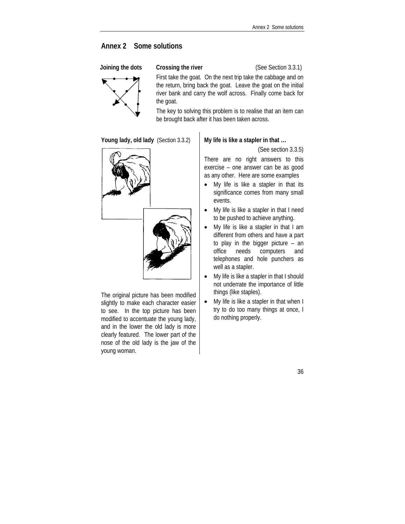#### <span id="page-39-0"></span>**Annex 2 Some solutions**



**Joining the dots** Crossing the river **CLO** (See Section 3.3.1)

First take the goat. On the next trip take the cabbage and on the return, bring back the goat. Leave the goat on the initial river bank and carry the wolf across. Finally come back for the goat.

The key to solving this problem is to realise that an item can be brought back after it has been taken across.

**Young lady, old lady** (Section 3.3.2) **My life is like a stapler in that …** 



The original picture has been modified slightly to make each character easier to see. In the top picture has been modified to accentuate the young lady, and in the lower the old lady is more clearly featured. The lower part of the nose of the old lady is the jaw of the young woman.

(See section 3.3.5)

There are no right answers to this exercise – one answer can be as good as any other. Here are some examples

- My life is like a stapler in that its significance comes from many small events.
- My life is like a stapler in that I need to be pushed to achieve anything.
- My life is like a stapler in that I am different from others and have a part to play in the bigger picture – an office needs computers and telephones and hole punchers as well as a stapler.
- My life is like a stapler in that I should not underrate the importance of little things (like staples).
- My life is like a stapler in that when I try to do too many things at once, I do nothing properly.